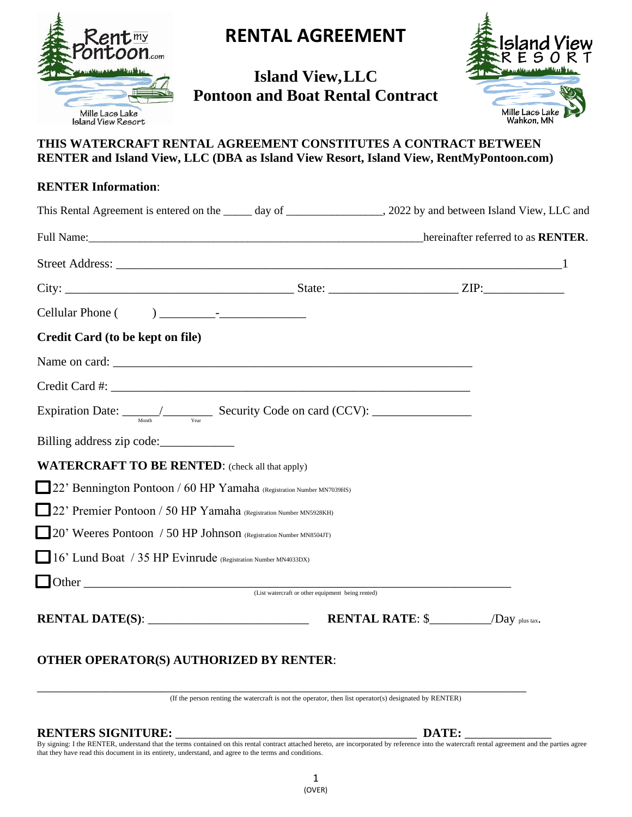

## **RENTAL AGREEMENT**

## **Island View,LLC Pontoon and Boat Rental Contract**



### **THIS WATERCRAFT RENTAL AGREEMENT CONSTITUTES A CONTRACT BETWEEN RENTER and Island View, LLC (DBA as Island View Resort, Island View, RentMyPontoon.com)**

| <b>RENTER Information:</b>                                                                                        |                                         |  |
|-------------------------------------------------------------------------------------------------------------------|-----------------------------------------|--|
| This Rental Agreement is entered on the _____ day of __________________, 2022 by and between Island View, LLC and |                                         |  |
| Full Name: hereinafter referred to as RENTER.                                                                     |                                         |  |
|                                                                                                                   |                                         |  |
|                                                                                                                   |                                         |  |
|                                                                                                                   |                                         |  |
| Credit Card (to be kept on file)                                                                                  |                                         |  |
|                                                                                                                   |                                         |  |
|                                                                                                                   |                                         |  |
| Expiration Date: $\frac{1}{\sqrt{N_{\text{cont}}}}$ Security Code on card (CCV):                                  |                                         |  |
| Billing address zip code:                                                                                         |                                         |  |
| <b>WATERCRAFT TO BE RENTED:</b> (check all that apply)                                                            |                                         |  |
| 22' Bennington Pontoon / 60 HP Yamaha (Registration Number MN7039HS)                                              |                                         |  |
| 22' Premier Pontoon / 50 HP Yamaha (Registration Number MN5928KH)                                                 |                                         |  |
| 20' Weeres Pontoon / 50 HP Johnson (Registration Number MN8504JT)                                                 |                                         |  |
| 16' Lund Boat / 35 HP Evinrude (Registration Number MN4033DX)                                                     |                                         |  |
|                                                                                                                   |                                         |  |
|                                                                                                                   |                                         |  |
| RENTAL DATE(S): $\qquad \qquad$                                                                                   | <b>RENTAL RATE:</b> $\$$ /Day plus tax. |  |
|                                                                                                                   |                                         |  |

### **OTHER OPERATOR(S) AUTHORIZED BY RENTER**:

\_\_\_\_\_\_\_\_\_\_\_\_\_\_\_\_\_\_\_\_\_\_\_\_\_\_\_\_\_\_\_\_\_\_\_\_\_\_\_\_\_\_\_\_\_\_\_\_\_\_\_\_\_\_\_\_\_\_\_\_\_\_\_\_\_\_\_\_\_\_\_\_\_\_\_\_\_\_\_ (If the person renting the watercraft is not the operator, then list operator(s) designated by RENTER)

#### **RENTERS SIGNITURE:** \_\_\_\_\_\_\_\_\_\_\_\_\_\_\_\_\_\_\_\_\_\_\_\_\_\_\_\_\_\_\_\_\_\_\_\_\_\_\_ **DATE:** \_\_\_\_\_\_\_\_\_\_\_\_\_\_

By signing: I the RENTER, understand that the terms contained on this rental contract attached hereto, are incorporated by reference into the watercraft rental agreement and the parties agree that they have read this document in its entirety, understand, and agree to the terms and conditions.